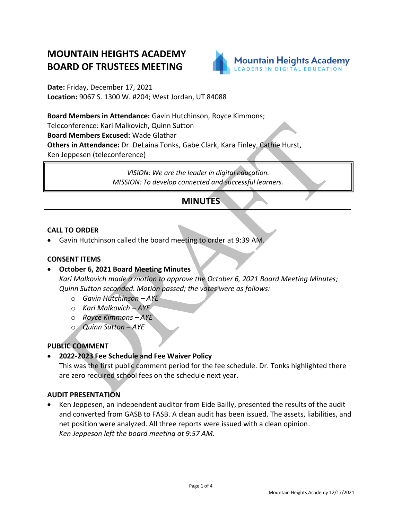# **MOUNTAIN HEIGHTS ACADEMY BOARD OF TRUSTEES MEETING**



**Date:** Friday, December 17, 2021 **Location:** 9067 S. 1300 W. #204; West Jordan, UT 84088

**Board Members in Attendance:** Gavin Hutchinson, Royce Kimmons; Teleconference: Kari Malkovich, Quinn Sutton **Board Members Excused:** Wade Glathar **Others in Attendance:** Dr. DeLaina Tonks, Gabe Clark, Kara Finley, Cathie Hurst,

Ken Jeppesen (teleconference)

*VISION: We are the leader in digital education. MISSION: To develop connected and successful learners.*

# **MINUTES**

# **CALL TO ORDER**

• Gavin Hutchinson called the board meeting to order at 9:39 AM.

# **CONSENT ITEMS**

# • **October 6, 2021 Board Meeting Minutes**

*Kari Malkovich made a motion to approve the October 6, 2021 Board Meeting Minutes; Quinn Sutton seconded. Motion passed; the votes were as follows:*

- o *Gavin Hutchinson – AYE*
- o *Kari Malkovich – AYE*
- o *Royce Kimmons – AYE*
- o *Quinn Sutton – AYE*

# **PUBLIC COMMENT**

• **2022-2023 Fee Schedule and Fee Waiver Policy**

This was the first public comment period for the fee schedule. Dr. Tonks highlighted there are zero required school fees on the schedule next year.

#### **AUDIT PRESENTATION**

• Ken Jeppesen, an independent auditor from Eide Bailly, presented the results of the audit and converted from GASB to FASB. A clean audit has been issued. The assets, liabilities, and net position were analyzed. All three reports were issued with a clean opinion. *Ken Jeppeson left the board meeting at 9:57 AM.*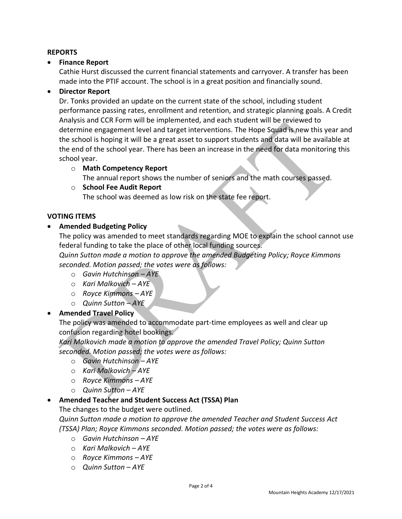# **REPORTS**

# • **Finance Report**

Cathie Hurst discussed the current financial statements and carryover. A transfer has been made into the PTIF account. The school is in a great position and financially sound.

# • **Director Report**

Dr. Tonks provided an update on the current state of the school, including student performance passing rates, enrollment and retention, and strategic planning goals. A Credit Analysis and CCR Form will be implemented, and each student will be reviewed to determine engagement level and target interventions. The Hope Squad is new this year and the school is hoping it will be a great asset to support students and data will be available at the end of the school year. There has been an increase in the need for data monitoring this school year.

#### o **Math Competency Report**

The annual report shows the number of seniors and the math courses passed.

# o **School Fee Audit Report**

The school was deemed as low risk on the state fee report.

#### **VOTING ITEMS**

# • **Amended Budgeting Policy**

The policy was amended to meet standards regarding MOE to explain the school cannot use federal funding to take the place of other local funding sources.

*Quinn Sutton made a motion to approve the amended Budgeting Policy; Royce Kimmons seconded. Motion passed; the votes were as follows:*

- o *Gavin Hutchinson – AYE*
- o *Kari Malkovich – AYE*
- o *Royce Kimmons – AYE*
- o *Quinn Sutton – AYE*

# • **Amended Travel Policy**

The policy was amended to accommodate part-time employees as well and clear up confusion regarding hotel bookings.

*Kari Malkovich made a motion to approve the amended Travel Policy; Quinn Sutton seconded. Motion passed; the votes were as follows:*

- o *Gavin Hutchinson – AYE*
- o *Kari Malkovich – AYE*
- o *Royce Kimmons – AYE*
- o *Quinn Sutton – AYE*

#### • **Amended Teacher and Student Success Act (TSSA) Plan**

The changes to the budget were outlined.

*Quinn Sutton made a motion to approve the amended Teacher and Student Success Act (TSSA) Plan; Royce Kimmons seconded. Motion passed; the votes were as follows:*

- o *Gavin Hutchinson – AYE*
- o *Kari Malkovich – AYE*
- o *Royce Kimmons – AYE*
- o *Quinn Sutton – AYE*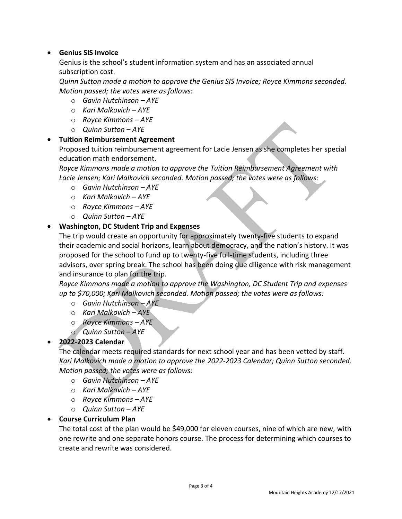# • **Genius SIS Invoice**

Genius is the school's student information system and has an associated annual subscription cost.

*Quinn Sutton made a motion to approve the Genius SIS Invoice; Royce Kimmons seconded. Motion passed; the votes were as follows:*

- o *Gavin Hutchinson – AYE*
- o *Kari Malkovich – AYE*
- o *Royce Kimmons – AYE*
- o *Quinn Sutton – AYE*

# • **Tuition Reimbursement Agreement**

Proposed tuition reimbursement agreement for Lacie Jensen as she completes her special education math endorsement.

*Royce Kimmons made a motion to approve the Tuition Reimbursement Agreement with Lacie Jensen; Kari Malkovich seconded. Motion passed; the votes were as follows:*

- o *Gavin Hutchinson – AYE*
- o *Kari Malkovich – AYE*
- o *Royce Kimmons – AYE*
- o *Quinn Sutton – AYE*

# • **Washington, DC Student Trip and Expenses**

The trip would create an opportunity for approximately twenty-five students to expand their academic and social horizons, learn about democracy, and the nation's history. It was proposed for the school to fund up to twenty-five full-time students, including three advisors, over spring break. The school has been doing due diligence with risk management and insurance to plan for the trip.

*Royce Kimmons made a motion to approve the Washington, DC Student Trip and expenses up to \$70,000; Kari Malkovich seconded. Motion passed; the votes were as follows:*

- o *Gavin Hutchinson – AYE*
- o *Kari Malkovich – AYE*
- o *Royce Kimmons – AYE*
- o *Quinn Sutton – AYE*

# • **2022-2023 Calendar**

The calendar meets required standards for next school year and has been vetted by staff. *Kari Malkovich made a motion to approve the 2022-2023 Calendar; Quinn Sutton seconded. Motion passed; the votes were as follows:*

- o *Gavin Hutchinson – AYE*
- o *Kari Malkovich – AYE*
- o *Royce Kimmons – AYE*
- o *Quinn Sutton – AYE*

# • **Course Curriculum Plan**

The total cost of the plan would be \$49,000 for eleven courses, nine of which are new, with one rewrite and one separate honors course. The process for determining which courses to create and rewrite was considered.